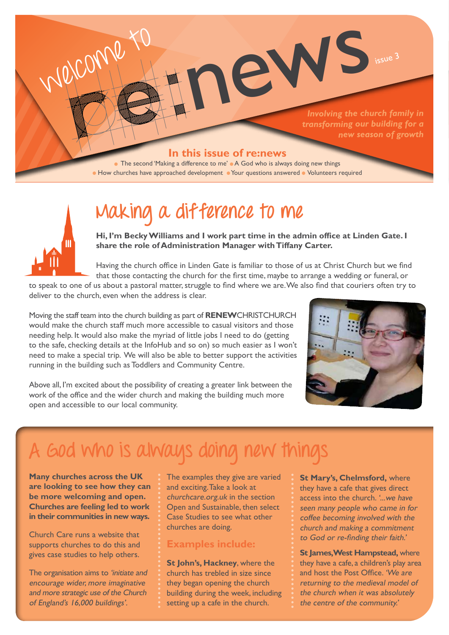

# **Making a difference to me**

**Hi, I'm Becky Williams and I work part time in the admin office at Linden Gate. I share the role of Administration Manager with Tiffany Carter.**

Having the church office in Linden Gate is familiar to those of us at Christ Church but we find that those contacting the church for the first time, maybe to arrange a wedding or funeral, or

to speak to one of us about a pastoral matter, struggle to find where we are. We also find that couriers often try to deliver to the church, even when the address is clear.

Moving the staff team into the church building as part of **RENEW**CHRISTCHURCH would make the church staff much more accessible to casual visitors and those needing help. It would also make the myriad of little jobs I need to do (getting to the safe, checking details at the InfoHub and so on) so much easier as I won't need to make a special trip. We will also be able to better support the activities running in the building such as Toddlers and Community Centre.



Above all, I'm excited about the possibility of creating a greater link between the work of the office and the wider church and making the building much more open and accessible to our local community.

# **A God who is always doing new things**

**Many churches across the UK are looking to see how they can be more welcoming and open. Churches are feeling led to work in their communities in new ways.** 

Church Care runs a website that supports churches to do this and gives case studies to help others.

The organisation aims to 'initiate and encourage wider, more imaginative and more strategic use of the Church of England's 16,000 buildings'.

The examples they give are varied and exciting. Take a look at churchcare.org.uk in the section Open and Sustainable, then select Case Studies to see what other churches are doing.

#### **Examples include:**

**St John's, Hackney**, where the church has trebled in size since they began opening the church building during the week, including setting up a cafe in the church.

**St Mary's, Chelmsford,** where they have a cafe that gives direct access into the church. '...we have seen many people who came in for coffee becoming involved with the church and making a commitment to God or re-finding their faith.'

**St James, West Hampstead,** where they have a cafe, a children's play area and host the Post Office. 'We are returning to the medieval model of the church when it was absolutely the centre of the community.'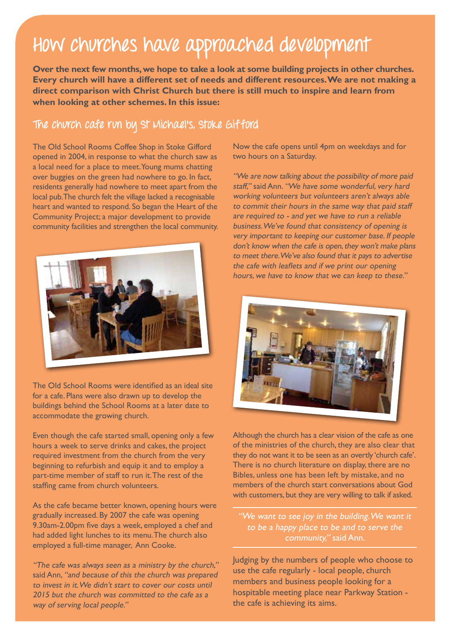## **How churches have approached development**

**Over the next few months, we hope to take a look at some building projects in other churches. Every church will have a different set of needs and different resources. We are not making a direct comparison with Christ Church but there is still much to inspire and learn from when looking at other schemes. In this issue:**

#### **The church cafe run by St Michael's, Stoke Gifford**

The Old School Rooms Coffee Shop in Stoke Gifford opened in 2004, in response to what the church saw as a local need for a place to meet. Young mums chatting over buggies on the green had nowhere to go. In fact, residents generally had nowhere to meet apart from the local pub. The church felt the village lacked a recognisable heart and wanted to respond. So began the Heart of the Community Project; a major development to provide community facilities and strengthen the local community.



The Old School Rooms were identified as an ideal site for a cafe. Plans were also drawn up to develop the buildings behind the School Rooms at a later date to accommodate the growing church.

Even though the cafe started small, opening only a few hours a week to serve drinks and cakes, the project required investment from the church from the very beginning to refurbish and equip it and to employ a part-time member of staff to run it. The rest of the staffing came from church volunteers.

As the cafe became better known, opening hours were gradually increased. By 2007 the cafe was opening 9.30am-2.00pm five days a week, employed a chef and had added light lunches to its menu. The church also employed a full-time manager, Ann Cooke.

"The cafe was always seen as a ministry by the church," said Ann, "and because of this the church was prepared to invest in it. We didn't start to cover our costs until 2015 but the church was committed to the cafe as a way of serving local people."

Now the cafe opens until 4pm on weekdays and for two hours on a Saturday.

"We are now talking about the possibility of more paid staff," said Ann. "We have some wonderful, very hard working volunteers but volunteers aren't always able to commit their hours in the same way that paid staff are required to - and yet we have to run a reliable business. We've found that consistency of opening is very important to keeping our customer base. If people don't know when the cafe is open, they won't make plans to meet there. We've also found that it pays to advertise the cafe with leaflets and if we print our opening hours, we have to know that we can keep to these."



Although the church has a clear vision of the cafe as one of the ministries of the church, they are also clear that they do not want it to be seen as an overtly 'church cafe'. There is no church literature on display, there are no Bibles, unless one has been left by mistake, and no members of the church start conversations about God with customers, but they are very willing to talk if asked.

"We want to see joy in the building. We want it to be a happy place to be and to serve the community," said Ann.

Judging by the numbers of people who choose to use the cafe regularly - local people, church members and business people looking for a hospitable meeting place near Parkway Station the cafe is achieving its aims.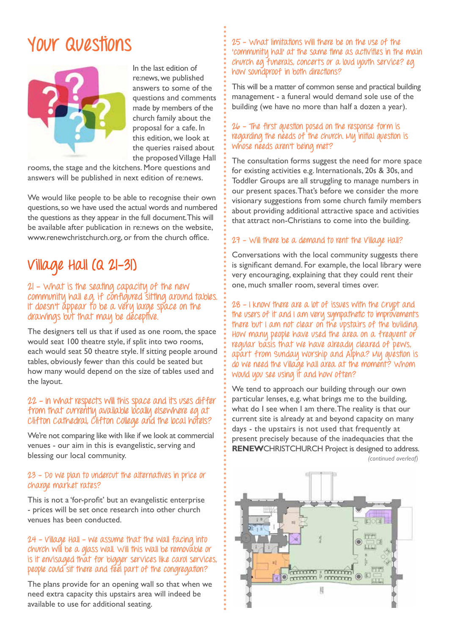## **Your Questions**



In the last edition of re:news, we published answers to some of the questions and comments made by members of the church family about the proposal for a cafe. In this edition, we look at the queries raised about the proposed Village Hall

rooms, the stage and the kitchens. More questions and answers will be published in next edition of re:news.

We would like people to be able to recognise their own questions, so we have used the actual words and numbered the questions as they appear in the full document. This will be available after publication in re:news on the website, www.renewchristchurch.org, or from the church office.

## **Village Hall (Q 21-31)**

#### **21 - What is the seating capacity of the new community hall e.g. if configured sitting around tables. It doesn't appear to be a very large space on the drawings but that may be deceptive.**

The designers tell us that if used as one room, the space would seat 100 theatre style, if split into two rooms, each would seat 50 theatre style. If sitting people around tables, obviously fewer than this could be seated but how many would depend on the size of tables used and the layout.

#### **22 - In what respects will this space and its uses differ**  from that currently available locally elsewhere eg at **Clifton Cathedral, Clifton College and the local hotels?**

We're not comparing like with like if we look at commercial venues - our aim in this is evangelistic, serving and blessing our local community.

#### **23 - Do we plan to undercut the alternatives in price or charge market rates?**

This is not a 'for-profit' but an evangelistic enterprise - prices will be set once research into other church venues has been conducted.

#### **24 - Village Hall – we assume that the wall facing into church will be a glass wall. Will this wall be removable or is it envisaged that for bigger services like carol services, people could sit there and feel part of the congregation?**

The plans provide for an opening wall so that when we need extra capacity this upstairs area will indeed be available to use for additional seating.

**25 - What limitations will there be on the use of the 'community hall' at the same time as activities in the main church eg funerals, concerts or a loud youth service? eg how soundproof in both directions?**

This will be a matter of common sense and practical building management - a funeral would demand sole use of the building (we have no more than half a dozen a year).

#### **26 - The first question posed on the response form is**  regarding the needs of the church. My initial question is **whose needs aren't being met?**

The consultation forms suggest the need for more space for existing activities e.g. Internationals, 20s & 30s, and Toddler Groups are all struggling to manage numbers in our present spaces. That's before we consider the more visionary suggestions from some church family members about providing additional attractive space and activities that attract non-Christians to come into the building.

#### **27 - Will there be a demand to rent the Village Hall?**

Conversations with the local community suggests there is significant demand. For example, the local library were very encouraging, explaining that they could rent their one, much smaller room, several times over.

**28 - I know there are a lot of issues with the Crypt and the users of it and I am very sympathetic to improvements there but I am not clear on the upstairs of the building. How many people have used the area on a frequent or regular basis that we have already cleared of pews, apart from Sunday worship and Alpha? My question is do we need the village hall area at the moment? Whom would you see using it and how often?**

We tend to approach our building through our own particular lenses, e.g. what brings me to the building, what do I see when I am there. The reality is that our current site is already at and beyond capacity on many days - the upstairs is not used that frequently at present precisely because of the inadequacies that the **RENEW**CHRISTCHURCH Project is designed to address.

*(continued overleaf)*